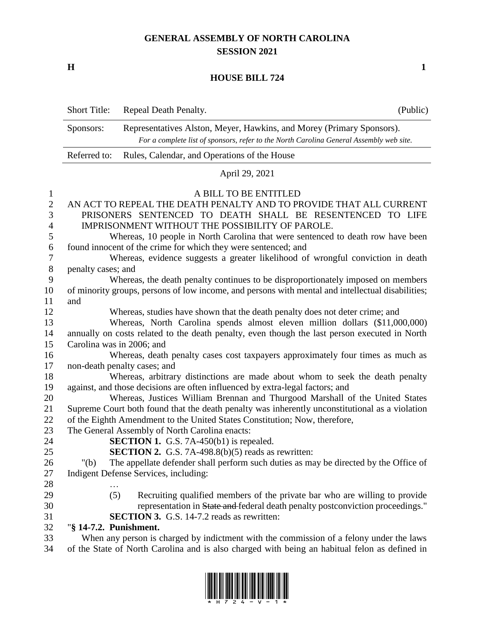## **GENERAL ASSEMBLY OF NORTH CAROLINA SESSION 2021**

**H 1**

## **HOUSE BILL 724**

|                  | <b>Short Title:</b>                                                                                          | Repeal Death Penalty.                                                                          | (Public) |  |  |  |  |
|------------------|--------------------------------------------------------------------------------------------------------------|------------------------------------------------------------------------------------------------|----------|--|--|--|--|
|                  | Sponsors:                                                                                                    | Representatives Alston, Meyer, Hawkins, and Morey (Primary Sponsors).                          |          |  |  |  |  |
|                  |                                                                                                              | For a complete list of sponsors, refer to the North Carolina General Assembly web site.        |          |  |  |  |  |
|                  | Referred to:                                                                                                 | Rules, Calendar, and Operations of the House                                                   |          |  |  |  |  |
|                  |                                                                                                              | April 29, 2021                                                                                 |          |  |  |  |  |
| 1                |                                                                                                              | A BILL TO BE ENTITLED                                                                          |          |  |  |  |  |
| $\sqrt{2}$       |                                                                                                              | AN ACT TO REPEAL THE DEATH PENALTY AND TO PROVIDE THAT ALL CURRENT                             |          |  |  |  |  |
| 3                |                                                                                                              | PRISONERS SENTENCED TO DEATH SHALL BE RESENTENCED TO LIFE                                      |          |  |  |  |  |
| $\overline{4}$   | IMPRISONMENT WITHOUT THE POSSIBILITY OF PAROLE.                                                              |                                                                                                |          |  |  |  |  |
| 5                |                                                                                                              | Whereas, 10 people in North Carolina that were sentenced to death row have been                |          |  |  |  |  |
| $\boldsymbol{6}$ | found innocent of the crime for which they were sentenced; and                                               |                                                                                                |          |  |  |  |  |
| $\overline{7}$   | Whereas, evidence suggests a greater likelihood of wrongful conviction in death                              |                                                                                                |          |  |  |  |  |
| $8\,$            | penalty cases; and                                                                                           |                                                                                                |          |  |  |  |  |
| 9                |                                                                                                              | Whereas, the death penalty continues to be disproportionately imposed on members               |          |  |  |  |  |
| 10               | of minority groups, persons of low income, and persons with mental and intellectual disabilities;            |                                                                                                |          |  |  |  |  |
| 11               | and                                                                                                          |                                                                                                |          |  |  |  |  |
| 12               | Whereas, studies have shown that the death penalty does not deter crime; and                                 |                                                                                                |          |  |  |  |  |
| 13               | Whereas, North Carolina spends almost eleven million dollars (\$11,000,000)                                  |                                                                                                |          |  |  |  |  |
| 14<br>15         | annually on costs related to the death penalty, even though the last person executed in North                |                                                                                                |          |  |  |  |  |
| 16               | Carolina was in 2006; and<br>Whereas, death penalty cases cost taxpayers approximately four times as much as |                                                                                                |          |  |  |  |  |
| 17               |                                                                                                              | non-death penalty cases; and                                                                   |          |  |  |  |  |
| 18               |                                                                                                              | Whereas, arbitrary distinctions are made about whom to seek the death penalty                  |          |  |  |  |  |
| 19               | against, and those decisions are often influenced by extra-legal factors; and                                |                                                                                                |          |  |  |  |  |
| 20               |                                                                                                              | Whereas, Justices William Brennan and Thurgood Marshall of the United States                   |          |  |  |  |  |
| 21               |                                                                                                              | Supreme Court both found that the death penalty was inherently unconstitutional as a violation |          |  |  |  |  |
| 22               | of the Eighth Amendment to the United States Constitution; Now, therefore,                                   |                                                                                                |          |  |  |  |  |
| 23               |                                                                                                              | The General Assembly of North Carolina enacts:                                                 |          |  |  |  |  |
| 24               |                                                                                                              | <b>SECTION 1.</b> G.S. 7A-450(b1) is repealed.                                                 |          |  |  |  |  |
| 25               |                                                                                                              | <b>SECTION 2.</b> G.S. 7A-498.8(b)(5) reads as rewritten:                                      |          |  |  |  |  |
| 26               | " $(b)$                                                                                                      | The appellate defender shall perform such duties as may be directed by the Office of           |          |  |  |  |  |
| 27               |                                                                                                              | Indigent Defense Services, including:                                                          |          |  |  |  |  |
| 28               |                                                                                                              |                                                                                                |          |  |  |  |  |
| 29               | (5)                                                                                                          | Recruiting qualified members of the private bar who are willing to provide                     |          |  |  |  |  |
| 30               |                                                                                                              | representation in State and federal death penalty postconviction proceedings."                 |          |  |  |  |  |
| 31               |                                                                                                              | <b>SECTION 3.</b> G.S. 14-7.2 reads as rewritten:                                              |          |  |  |  |  |
| 32               | "§ 14-7.2. Punishment.                                                                                       |                                                                                                |          |  |  |  |  |
| 33               | When any person is charged by indictment with the commission of a felony under the laws                      |                                                                                                |          |  |  |  |  |

of the State of North Carolina and is also charged with being an habitual felon as defined in

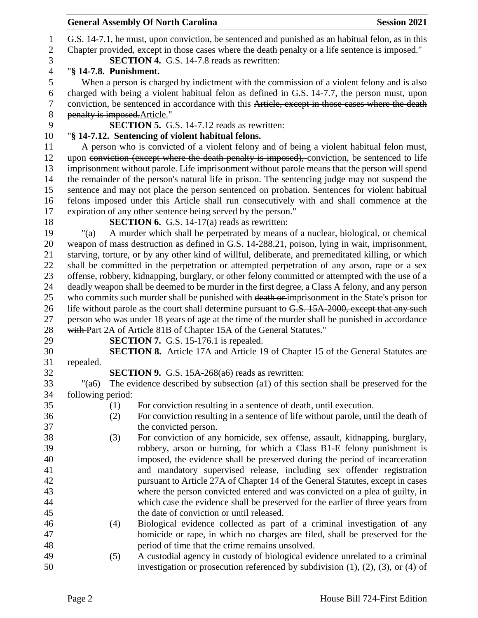|                   |                        | <b>General Assembly Of North Carolina</b>                                                                                                                                                            | <b>Session 2021</b> |
|-------------------|------------------------|------------------------------------------------------------------------------------------------------------------------------------------------------------------------------------------------------|---------------------|
| $\mathbf{1}$      |                        | G.S. 14-7.1, he must, upon conviction, be sentenced and punished as an habitual felon, as in this                                                                                                    |                     |
| $\mathbf{2}$<br>3 |                        | Chapter provided, except in those cases where the death penalty or a life sentence is imposed."<br>SECTION 4. G.S. 14-7.8 reads as rewritten:                                                        |                     |
| $\overline{4}$    | "§ 14-7.8. Punishment. |                                                                                                                                                                                                      |                     |
| $\mathfrak s$     |                        | When a person is charged by indictment with the commission of a violent felony and is also                                                                                                           |                     |
| 6                 |                        | charged with being a violent habitual felon as defined in G.S. 14-7.7, the person must, upon                                                                                                         |                     |
| 7                 |                        | conviction, be sentenced in accordance with this Article, except in those cases where the death                                                                                                      |                     |
| $8\,$             |                        | penalty is imposed. Article."                                                                                                                                                                        |                     |
| 9                 |                        | <b>SECTION 5.</b> G.S. 14-7.12 reads as rewritten:                                                                                                                                                   |                     |
| 10                |                        | "§ 14-7.12. Sentencing of violent habitual felons.                                                                                                                                                   |                     |
| 11                |                        | A person who is convicted of a violent felony and of being a violent habitual felon must,                                                                                                            |                     |
| 12                |                        | upon conviction (except where the death penalty is imposed), conviction, be sentenced to life                                                                                                        |                     |
| 13                |                        | imprisonment without parole. Life imprisonment without parole means that the person will spend                                                                                                       |                     |
| 14                |                        | the remainder of the person's natural life in prison. The sentencing judge may not suspend the                                                                                                       |                     |
| 15                |                        | sentence and may not place the person sentenced on probation. Sentences for violent habitual                                                                                                         |                     |
| 16                |                        | felons imposed under this Article shall run consecutively with and shall commence at the                                                                                                             |                     |
| 17                |                        | expiration of any other sentence being served by the person."                                                                                                                                        |                     |
| 18                |                        | <b>SECTION 6.</b> G.S. 14-17(a) reads as rewritten:                                                                                                                                                  |                     |
| 19                | "(a)                   | A murder which shall be perpetrated by means of a nuclear, biological, or chemical                                                                                                                   |                     |
| 20                |                        | weapon of mass destruction as defined in G.S. 14-288.21, poison, lying in wait, imprisonment,                                                                                                        |                     |
| 21                |                        | starving, torture, or by any other kind of willful, deliberate, and premeditated killing, or which                                                                                                   |                     |
| 22                |                        | shall be committed in the perpetration or attempted perpetration of any arson, rape or a sex                                                                                                         |                     |
| 23                |                        | offense, robbery, kidnapping, burglary, or other felony committed or attempted with the use of a<br>deadly weapon shall be deemed to be murder in the first degree, a Class A felony, and any person |                     |
| 24<br>25          |                        | who commits such murder shall be punished with death or imprisonment in the State's prison for                                                                                                       |                     |
| 26                |                        | life without parole as the court shall determine pursuant to G.S. 15A-2000, except that any such                                                                                                     |                     |
| 27                |                        | person who was under 18 years of age at the time of the murder shall be punished in accordance                                                                                                       |                     |
| 28                |                        | with Part 2A of Article 81B of Chapter 15A of the General Statutes."                                                                                                                                 |                     |
| 29                |                        | <b>SECTION 7.</b> G.S. 15-176.1 is repealed.                                                                                                                                                         |                     |
| 30                |                        | <b>SECTION 8.</b> Article 17A and Article 19 of Chapter 15 of the General Statutes are                                                                                                               |                     |
| 31                | repealed.              |                                                                                                                                                                                                      |                     |
| 32                |                        | SECTION 9. G.S. 15A-268(a6) reads as rewritten:                                                                                                                                                      |                     |
| 33                | $"({\rm a6})"$         | The evidence described by subsection (a1) of this section shall be preserved for the                                                                                                                 |                     |
| 34                | following period:      |                                                                                                                                                                                                      |                     |
| 35                | $\leftrightarrow$      | For conviction resulting in a sentence of death, until execution.                                                                                                                                    |                     |
| 36                | (2)                    | For conviction resulting in a sentence of life without parole, until the death of                                                                                                                    |                     |
| 37                |                        | the convicted person.                                                                                                                                                                                |                     |
| 38                | (3)                    | For conviction of any homicide, sex offense, assault, kidnapping, burglary,                                                                                                                          |                     |
| 39                |                        | robbery, arson or burning, for which a Class B1-E felony punishment is                                                                                                                               |                     |
| 40                |                        | imposed, the evidence shall be preserved during the period of incarceration                                                                                                                          |                     |
| 41                |                        | and mandatory supervised release, including sex offender registration                                                                                                                                |                     |
| 42                |                        | pursuant to Article 27A of Chapter 14 of the General Statutes, except in cases                                                                                                                       |                     |
| 43                |                        | where the person convicted entered and was convicted on a plea of guilty, in                                                                                                                         |                     |
| 44                |                        | which case the evidence shall be preserved for the earlier of three years from                                                                                                                       |                     |
| 45                |                        | the date of conviction or until released.                                                                                                                                                            |                     |
| 46<br>47          | (4)                    | Biological evidence collected as part of a criminal investigation of any<br>homicide or rape, in which no charges are filed, shall be preserved for the                                              |                     |
| 48                |                        | period of time that the crime remains unsolved.                                                                                                                                                      |                     |
| 49                | (5)                    | A custodial agency in custody of biological evidence unrelated to a criminal                                                                                                                         |                     |
| 50                |                        | investigation or prosecution referenced by subdivision $(1)$ , $(2)$ , $(3)$ , or $(4)$ of                                                                                                           |                     |
|                   |                        |                                                                                                                                                                                                      |                     |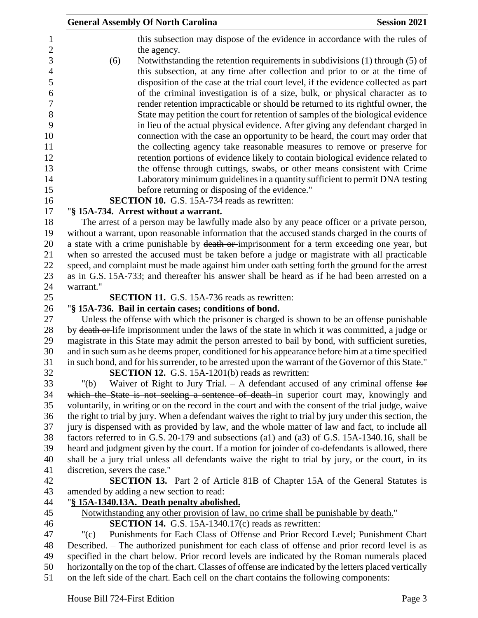|                               | <b>General Assembly Of North Carolina</b>                                                                                                                                                        | <b>Session 2021</b> |
|-------------------------------|--------------------------------------------------------------------------------------------------------------------------------------------------------------------------------------------------|---------------------|
|                               | this subsection may dispose of the evidence in accordance with the rules of                                                                                                                      |                     |
| (6)                           | the agency.<br>Notwithstanding the retention requirements in subdivisions (1) through (5) of                                                                                                     |                     |
|                               | this subsection, at any time after collection and prior to or at the time of<br>disposition of the case at the trial court level, if the evidence collected as part                              |                     |
|                               | of the criminal investigation is of a size, bulk, or physical character as to<br>render retention impracticable or should be returned to its rightful owner, the                                 |                     |
|                               | State may petition the court for retention of samples of the biological evidence                                                                                                                 |                     |
|                               | in lieu of the actual physical evidence. After giving any defendant charged in                                                                                                                   |                     |
|                               | connection with the case an opportunity to be heard, the court may order that                                                                                                                    |                     |
|                               | the collecting agency take reasonable measures to remove or preserve for                                                                                                                         |                     |
|                               | retention portions of evidence likely to contain biological evidence related to<br>the offense through cuttings, swabs, or other means consistent with Crime                                     |                     |
|                               | Laboratory minimum guidelines in a quantity sufficient to permit DNA testing                                                                                                                     |                     |
|                               | before returning or disposing of the evidence."                                                                                                                                                  |                     |
|                               | <b>SECTION 10.</b> G.S. 15A-734 reads as rewritten:                                                                                                                                              |                     |
|                               | "§ 15A-734. Arrest without a warrant.                                                                                                                                                            |                     |
|                               | The arrest of a person may be lawfully made also by any peace officer or a private person,                                                                                                       |                     |
|                               | without a warrant, upon reasonable information that the accused stands charged in the courts of                                                                                                  |                     |
|                               | a state with a crime punishable by death or imprisonment for a term exceeding one year, but                                                                                                      |                     |
|                               | when so arrested the accused must be taken before a judge or magistrate with all practicable                                                                                                     |                     |
|                               | speed, and complaint must be made against him under oath setting forth the ground for the arrest<br>as in G.S. 15A-733; and thereafter his answer shall be heard as if he had been arrested on a |                     |
| warrant."                     |                                                                                                                                                                                                  |                     |
|                               | <b>SECTION 11.</b> G.S. 15A-736 reads as rewritten:                                                                                                                                              |                     |
|                               | "§ 15A-736. Bail in certain cases; conditions of bond.                                                                                                                                           |                     |
|                               | Unless the offense with which the prisoner is charged is shown to be an offense punishable                                                                                                       |                     |
|                               | by death or life imprisonment under the laws of the state in which it was committed, a judge or                                                                                                  |                     |
|                               | magistrate in this State may admit the person arrested to bail by bond, with sufficient sureties,                                                                                                |                     |
|                               | and in such sum as he deems proper, conditioned for his appearance before him at a time specified                                                                                                |                     |
|                               | in such bond, and for his surrender, to be arrested upon the warrant of the Governor of this State."                                                                                             |                     |
|                               | SECTION 12. G.S. 15A-1201(b) reads as rewritten:                                                                                                                                                 |                     |
| " $(b)$                       | Waiver of Right to Jury Trial. $-$ A defendant accused of any criminal offense for<br>which the State is not seeking a sentence of death-in superior court may, knowingly and                    |                     |
|                               | voluntarily, in writing or on the record in the court and with the consent of the trial judge, waive                                                                                             |                     |
|                               | the right to trial by jury. When a defendant waives the right to trial by jury under this section, the                                                                                           |                     |
|                               | jury is dispensed with as provided by law, and the whole matter of law and fact, to include all                                                                                                  |                     |
|                               | factors referred to in G.S. 20-179 and subsections (a1) and (a3) of G.S. 15A-1340.16, shall be                                                                                                   |                     |
|                               | heard and judgment given by the court. If a motion for joinder of co-defendants is allowed, there                                                                                                |                     |
|                               | shall be a jury trial unless all defendants waive the right to trial by jury, or the court, in its                                                                                               |                     |
| discretion, severs the case." |                                                                                                                                                                                                  |                     |
|                               | SECTION 13. Part 2 of Article 81B of Chapter 15A of the General Statutes is                                                                                                                      |                     |
|                               | amended by adding a new section to read:                                                                                                                                                         |                     |
|                               | "§ 15A-1340.13A. Death penalty abolished.                                                                                                                                                        |                     |
|                               | Notwithstanding any other provision of law, no crime shall be punishable by death."<br><b>SECTION 14.</b> G.S. 15A-1340.17 $(c)$ reads as rewritten:                                             |                     |
| $"({\rm c})$                  | Punishments for Each Class of Offense and Prior Record Level; Punishment Chart                                                                                                                   |                     |
|                               | Described. – The authorized punishment for each class of offense and prior record level is as                                                                                                    |                     |
|                               | specified in the chart below. Prior record levels are indicated by the Roman numerals placed                                                                                                     |                     |
|                               | horizontally on the top of the chart. Classes of offense are indicated by the letters placed vertically                                                                                          |                     |
|                               | on the left side of the chart. Each cell on the chart contains the following components:                                                                                                         |                     |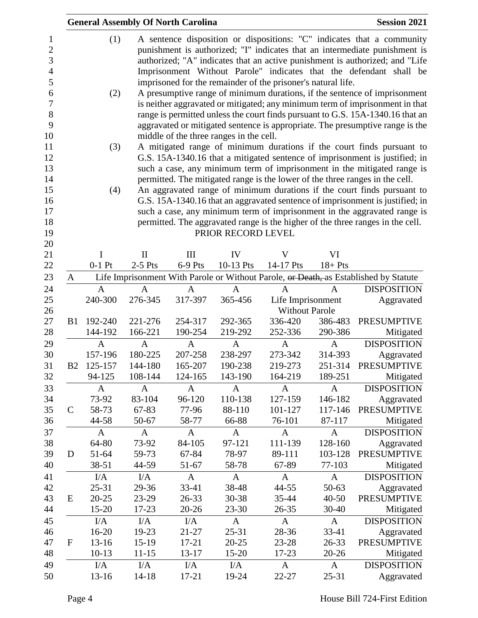|                |              |              | <b>General Assembly Of North Carolina</b> |                                         |                                                              |              | <b>Session 2021</b>                                                                  |
|----------------|--------------|--------------|-------------------------------------------|-----------------------------------------|--------------------------------------------------------------|--------------|--------------------------------------------------------------------------------------|
|                | (1)          |              |                                           |                                         |                                                              |              | A sentence disposition or dispositions: "C" indicates that a community               |
|                |              |              |                                           |                                         |                                                              |              | punishment is authorized; "I" indicates that an intermediate punishment is           |
|                |              |              |                                           |                                         |                                                              |              | authorized; "A" indicates that an active punishment is authorized; and "Life         |
|                |              |              |                                           |                                         |                                                              |              | Imprisonment Without Parole" indicates that the defendant shall be                   |
|                |              |              |                                           |                                         | imprisoned for the remainder of the prisoner's natural life. |              |                                                                                      |
|                | (2)          |              |                                           |                                         |                                                              |              | A presumptive range of minimum durations, if the sentence of imprisonment            |
|                |              |              |                                           |                                         |                                                              |              | is neither aggravated or mitigated; any minimum term of imprisonment in that         |
|                |              |              |                                           |                                         |                                                              |              | range is permitted unless the court finds pursuant to G.S. 15A-1340.16 that an       |
|                |              |              |                                           |                                         |                                                              |              | aggravated or mitigated sentence is appropriate. The presumptive range is the        |
|                |              |              |                                           | middle of the three ranges in the cell. |                                                              |              |                                                                                      |
|                |              |              |                                           |                                         |                                                              |              |                                                                                      |
|                | (3)          |              |                                           |                                         |                                                              |              | A mitigated range of minimum durations if the court finds pursuant to                |
|                |              |              |                                           |                                         |                                                              |              | G.S. 15A-1340.16 that a mitigated sentence of imprisonment is justified; in          |
|                |              |              |                                           |                                         |                                                              |              | such a case, any minimum term of imprisonment in the mitigated range is              |
|                |              |              |                                           |                                         |                                                              |              | permitted. The mitigated range is the lower of the three ranges in the cell.         |
|                | (4)          |              |                                           |                                         |                                                              |              | An aggravated range of minimum durations if the court finds pursuant to              |
|                |              |              |                                           |                                         |                                                              |              | G.S. 15A-1340.16 that an aggravated sentence of imprisonment is justified; in        |
|                |              |              |                                           |                                         |                                                              |              | such a case, any minimum term of imprisonment in the aggravated range is             |
|                |              |              |                                           |                                         |                                                              |              | permitted. The aggravated range is the higher of the three ranges in the cell.       |
|                |              |              |                                           | PRIOR RECORD LEVEL                      |                                                              |              |                                                                                      |
|                | I            | $\mathbf{I}$ | III                                       | IV                                      | V                                                            | VI           |                                                                                      |
|                | $0-1$ Pt     | $2-5$ Pts    | $6-9$ Pts                                 | 10-13 Pts                               | 14-17 Pts                                                    | $18 + P$ ts  |                                                                                      |
| A              |              |              |                                           |                                         |                                                              |              | Life Imprisonment With Parole or Without Parole, or Death, as Established by Statute |
|                | $\mathbf{A}$ | $\mathbf{A}$ | A                                         | $\overline{A}$                          | A                                                            | $\mathbf{A}$ | <b>DISPOSITION</b>                                                                   |
|                | 240-300      | 276-345      | 317-397                                   | 365-456                                 | Life Imprisonment                                            |              | Aggravated                                                                           |
|                |              |              |                                           |                                         | <b>Without Parole</b>                                        |              |                                                                                      |
| B <sub>1</sub> | 192-240      | 221-276      | 254-317                                   | 292-365                                 | 336-420                                                      | 386-483      | <b>PRESUMPTIVE</b>                                                                   |
|                | 144-192      | 166-221      | 190-254                                   | 219-292                                 | 252-336                                                      | 290-386      | Mitigated                                                                            |
|                | $\mathbf{A}$ | A            | A                                         | $\mathbf{A}$                            | A                                                            | A            | <b>DISPOSITION</b>                                                                   |
|                | 157-196      | 180-225      | 207-258                                   | 238-297                                 | 273-342                                                      | 314-393      | Aggravated                                                                           |
| <b>B2</b>      | 125-157      | 144-180      | 165-207                                   | 190-238                                 | 219-273                                                      | 251-314      | <b>PRESUMPTIVE</b>                                                                   |
|                | 94-125       | 108-144      | 124-165                                   | 143-190                                 | 164-219                                                      | 189-251      | Mitigated                                                                            |
|                |              |              |                                           |                                         |                                                              |              |                                                                                      |
|                | A            | $\mathbf{A}$ | A                                         | $\mathbf{A}$                            | A                                                            | $\mathbf{A}$ | <b>DISPOSITION</b>                                                                   |
|                | 73-92        | 83-104       | 96-120                                    | 110-138                                 | 127-159                                                      | 146-182      | Aggravated                                                                           |
| $\mathcal{C}$  | 58-73        | 67-83        | 77-96                                     | 88-110                                  | 101-127                                                      | 117-146      | <b>PRESUMPTIVE</b>                                                                   |
|                | 44-58        | 50-67        | 58-77                                     | 66-88                                   | 76-101                                                       | 87-117       | Mitigated                                                                            |
|                | A            | $\mathbf{A}$ | $\mathbf{A}$                              | $\mathbf{A}$                            | $\mathbf{A}$                                                 | $\mathbf{A}$ | <b>DISPOSITION</b>                                                                   |
|                | 64-80        | 73-92        | 84-105                                    | 97-121                                  | 111-139                                                      | 128-160      | Aggravated                                                                           |
| D              | 51-64        | 59-73        | 67-84                                     | 78-97                                   | 89-111                                                       | 103-128      | <b>PRESUMPTIVE</b>                                                                   |
|                | 38-51        | 44-59        | 51-67                                     | 58-78                                   | 67-89                                                        | 77-103       | Mitigated                                                                            |
|                | I/A          | I/A          | A                                         | $\mathbf{A}$                            | A                                                            | A            | <b>DISPOSITION</b>                                                                   |
|                | 25-31        | 29-36        | 33-41                                     | 38-48                                   | 44-55                                                        | 50-63        | Aggravated                                                                           |
| E              | $20 - 25$    | 23-29        | 26-33                                     | 30-38                                   | 35-44                                                        | $40 - 50$    | <b>PRESUMPTIVE</b>                                                                   |
|                | 15-20        | 17-23        | $20 - 26$                                 | 23-30                                   | 26-35                                                        | 30-40        | Mitigated                                                                            |
|                | I/A          | I/A          | I/A                                       | $\mathbf{A}$                            | $\mathbf{A}$                                                 | $\mathbf{A}$ | <b>DISPOSITION</b>                                                                   |
|                | 16-20        | 19-23        | 21-27                                     | 25-31                                   | 28-36                                                        | 33-41        | Aggravated                                                                           |
| $\mathbf F$    | $13 - 16$    | $15-19$      | 17-21                                     | $20 - 25$                               | 23-28                                                        | 26-33        | <b>PRESUMPTIVE</b>                                                                   |
|                | $10-13$      | $11 - 15$    | 13-17                                     | 15-20                                   | 17-23                                                        | $20 - 26$    | Mitigated                                                                            |
|                | I/A          | I/A          | I/A                                       | I/A                                     | A                                                            | $\mathbf{A}$ | <b>DISPOSITION</b>                                                                   |
|                | 13-16        | $14 - 18$    | 17-21                                     | 19-24                                   | 22-27                                                        | 25-31        | Aggravated                                                                           |
|                |              |              |                                           |                                         |                                                              |              |                                                                                      |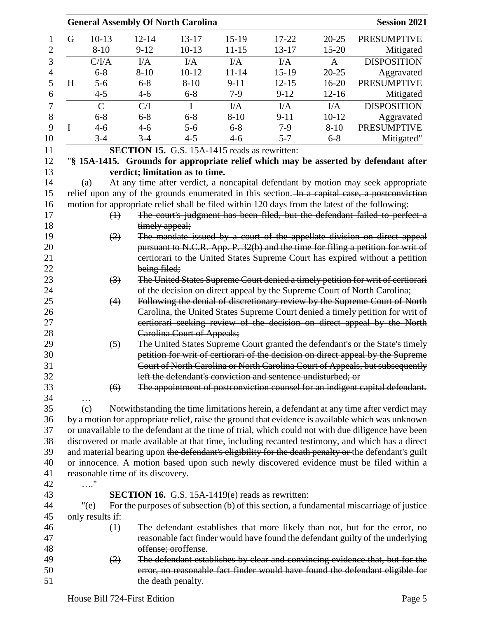|   |                                   |                | <b>General Assembly Of North Carolina</b> |                                                      |                                                              |              | <b>Session 2021</b>                                                                                                                                             |
|---|-----------------------------------|----------------|-------------------------------------------|------------------------------------------------------|--------------------------------------------------------------|--------------|-----------------------------------------------------------------------------------------------------------------------------------------------------------------|
| G | $10-13$                           | $12 - 14$      | $13 - 17$                                 | $15-19$                                              | 17-22                                                        | $20 - 25$    | <b>PRESUMPTIVE</b>                                                                                                                                              |
|   | $8 - 10$                          | $9 - 12$       | $10-13$                                   | $11 - 15$                                            | 13-17                                                        | $15 - 20$    | Mitigated                                                                                                                                                       |
|   | C/IA                              | $VA$           | I/A                                       | I/A                                                  | I/A                                                          | $\mathbf{A}$ | <b>DISPOSITION</b>                                                                                                                                              |
|   | $6 - 8$                           | $8 - 10$       | $10 - 12$                                 | $11 - 14$                                            | $15-19$                                                      | $20 - 25$    | Aggravated                                                                                                                                                      |
| H | $5 - 6$                           | $6 - 8$        | $8 - 10$                                  | $9 - 11$                                             | $12 - 15$                                                    | $16 - 20$    | <b>PRESUMPTIVE</b>                                                                                                                                              |
|   | $4 - 5$                           | $4 - 6$        | $6 - 8$                                   | $7-9$                                                | $9 - 12$                                                     | $12 - 16$    | Mitigated                                                                                                                                                       |
|   | $\mathsf{C}$                      | C/I            | $\mathbf I$                               | $VA$                                                 | I/A                                                          | I/A          | <b>DISPOSITION</b>                                                                                                                                              |
|   | $6 - 8$                           | $6 - 8$        | $6 - 8$                                   | $8 - 10$                                             | $9 - 11$                                                     | $10 - 12$    | Aggravated                                                                                                                                                      |
| I | $4 - 6$                           | $4 - 6$        | $5 - 6$                                   | $6 - 8$                                              | $7-9$                                                        | $8 - 10$     | <b>PRESUMPTIVE</b>                                                                                                                                              |
|   | $3 - 4$                           | $3 - 4$        | $4 - 5$                                   | $4 - 6$                                              | $5 - 7$                                                      | $6 - 8$      | Mitigated"                                                                                                                                                      |
|   |                                   |                |                                           | <b>SECTION 15.</b> G.S. 15A-1415 reads as rewritten: |                                                              |              |                                                                                                                                                                 |
|   |                                   |                |                                           |                                                      |                                                              |              | "\\$ 15A-1415. Grounds for appropriate relief which may be asserted by defendant after                                                                          |
|   |                                   |                | verdict; limitation as to time.           |                                                      |                                                              |              |                                                                                                                                                                 |
|   | (a)                               |                |                                           |                                                      |                                                              |              | At any time after verdict, a noncapital defendant by motion may seek appropriate                                                                                |
|   |                                   |                |                                           |                                                      |                                                              |              | relief upon any of the grounds enumerated in this section. In a capital case, a postconviction                                                                  |
|   |                                   |                |                                           |                                                      |                                                              |              | motion for appropriate relief shall be filed within 120 days from the latest of the following:                                                                  |
|   | $\bigoplus$                       |                |                                           |                                                      |                                                              |              | The court's judgment has been filed, but the defendant failed to perfect a                                                                                      |
|   |                                   | timely appeal; |                                           |                                                      |                                                              |              |                                                                                                                                                                 |
|   | (2)                               |                |                                           |                                                      |                                                              |              | The mandate issued by a court of the appellate division on direct appeal                                                                                        |
|   |                                   |                |                                           |                                                      |                                                              |              | pursuant to N.C.R. App. P. 32(b) and the time for filing a petition for writ of<br>certiorari to the United States Supreme Court has expired without a petition |
|   |                                   | being filed;   |                                           |                                                      |                                                              |              |                                                                                                                                                                 |
|   | $\left(3\right)$                  |                |                                           |                                                      |                                                              |              | The United States Supreme Court denied a timely petition for writ of certiorari                                                                                 |
|   |                                   |                |                                           |                                                      |                                                              |              | of the decision on direct appeal by the Supreme Court of North Carolina;                                                                                        |
|   | (4)                               |                |                                           |                                                      |                                                              |              | Following the denial of discretionary review by the Supreme Court of North                                                                                      |
|   |                                   |                |                                           |                                                      |                                                              |              | Carolina, the United States Supreme Court denied a timely petition for writ of                                                                                  |
|   |                                   |                |                                           |                                                      |                                                              |              | certiorari seeking review of the decision on direct appeal by the North                                                                                         |
|   |                                   |                | <b>Carolina Court of Appeals;</b>         |                                                      |                                                              |              |                                                                                                                                                                 |
|   | $\left(5\right)$                  |                |                                           |                                                      |                                                              |              | The United States Supreme Court granted the defendant's or the State's timely                                                                                   |
|   |                                   |                |                                           |                                                      |                                                              |              | petition for writ of certiorari of the decision on direct appeal by the Supreme                                                                                 |
|   |                                   |                |                                           |                                                      |                                                              |              | Court of North Carolina or North Carolina Court of Appeals, but subsequently                                                                                    |
|   |                                   |                |                                           |                                                      | left the defendant's conviction and sentence undisturbed; or |              |                                                                                                                                                                 |
|   | $\left( 6 \right)$                |                |                                           |                                                      |                                                              |              | The appointment of postconviction counsel for an indigent capital defendant.                                                                                    |
|   | $\cdots$                          |                |                                           |                                                      |                                                              |              |                                                                                                                                                                 |
|   | (c)                               |                |                                           |                                                      |                                                              |              | Notwithstanding the time limitations herein, a defendant at any time after verdict may                                                                          |
|   |                                   |                |                                           |                                                      |                                                              |              | by a motion for appropriate relief, raise the ground that evidence is available which was unknown                                                               |
|   |                                   |                |                                           |                                                      |                                                              |              | or unavailable to the defendant at the time of trial, which could not with due diligence have been                                                              |
|   |                                   |                |                                           |                                                      |                                                              |              | discovered or made available at that time, including recanted testimony, and which has a direct                                                                 |
|   |                                   |                |                                           |                                                      |                                                              |              | and material bearing upon the defendant's eligibility for the death penalty or the defendant's guilt                                                            |
|   |                                   |                |                                           |                                                      |                                                              |              | or innocence. A motion based upon such newly discovered evidence must be filed within a                                                                         |
|   | reasonable time of its discovery. |                |                                           |                                                      |                                                              |              |                                                                                                                                                                 |
|   | $\ldots$ "                        |                |                                           |                                                      |                                                              |              |                                                                                                                                                                 |
|   |                                   |                |                                           |                                                      | <b>SECTION 16.</b> G.S. 15A-1419(e) reads as rewritten:      |              |                                                                                                                                                                 |
|   | "(e)                              |                |                                           |                                                      |                                                              |              | For the purposes of subsection (b) of this section, a fundamental miscarriage of justice                                                                        |
|   | only results if:                  |                |                                           |                                                      |                                                              |              |                                                                                                                                                                 |
|   | (1)                               |                |                                           |                                                      |                                                              |              | The defendant establishes that more likely than not, but for the error, no                                                                                      |
|   |                                   |                |                                           |                                                      |                                                              |              | reasonable fact finder would have found the defendant guilty of the underlying                                                                                  |
|   |                                   |                | offense; oroffense.                       |                                                      |                                                              |              |                                                                                                                                                                 |
|   | (2)                               |                |                                           |                                                      |                                                              |              | The defendant establishes by clear and convincing evidence that, but for the                                                                                    |
|   |                                   |                |                                           |                                                      |                                                              |              | error, no reasonable fact finder would have found the defendant eligible for                                                                                    |
|   |                                   |                | the death penalty.                        |                                                      |                                                              |              |                                                                                                                                                                 |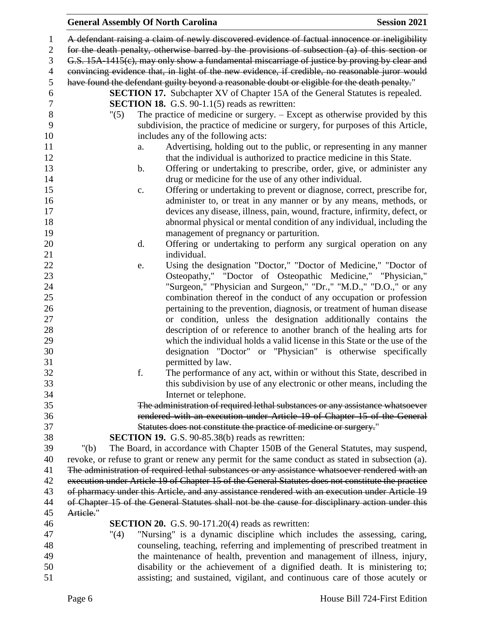## **General Assembly Of North Carolina Session 2021**

| 1              | A defendant raising a claim of newly discovered evidence of factual innocence or ineligibility    |  |
|----------------|---------------------------------------------------------------------------------------------------|--|
| $\overline{2}$ | for the death penalty, otherwise barred by the provisions of subsection (a) of this section or    |  |
| 3              | G.S. 15A-1415(e), may only show a fundamental miscarriage of justice by proving by clear and      |  |
| $\overline{4}$ | convincing evidence that, in light of the new evidence, if credible, no reasonable juror would    |  |
| 5              | have found the defendant guilty beyond a reasonable doubt or eligible for the death penalty."     |  |
| 6              | <b>SECTION 17.</b> Subchapter XV of Chapter 15A of the General Statutes is repealed.              |  |
| $\tau$         | <b>SECTION 18.</b> G.S. $90-1.1(5)$ reads as rewritten:                                           |  |
| $8\,$          | The practice of medicine or surgery. $-$ Except as otherwise provided by this<br>"(5)             |  |
| 9              | subdivision, the practice of medicine or surgery, for purposes of this Article,                   |  |
| 10             | includes any of the following acts:                                                               |  |
| 11             | Advertising, holding out to the public, or representing in any manner<br>a.                       |  |
| 12             | that the individual is authorized to practice medicine in this State.                             |  |
| 13             | Offering or undertaking to prescribe, order, give, or administer any<br>$\mathbf b$ .             |  |
| 14             | drug or medicine for the use of any other individual.                                             |  |
| 15             | Offering or undertaking to prevent or diagnose, correct, prescribe for,<br>c.                     |  |
| 16             | administer to, or treat in any manner or by any means, methods, or                                |  |
| 17             | devices any disease, illness, pain, wound, fracture, infirmity, defect, or                        |  |
| 18             | abnormal physical or mental condition of any individual, including the                            |  |
| 19             | management of pregnancy or parturition.                                                           |  |
| 20             | Offering or undertaking to perform any surgical operation on any<br>d.                            |  |
| 21             | individual.                                                                                       |  |
| 22             | Using the designation "Doctor," "Doctor of Medicine," "Doctor of<br>e.                            |  |
| 23             | Osteopathy," "Doctor of Osteopathic Medicine," "Physician,"                                       |  |
| 24             | "Surgeon," "Physician and Surgeon," "Dr.," "M.D.," "D.O.," or any                                 |  |
| 25             | combination thereof in the conduct of any occupation or profession                                |  |
| 26             | pertaining to the prevention, diagnosis, or treatment of human disease                            |  |
| 27             | or condition, unless the designation additionally contains the                                    |  |
| 28             | description of or reference to another branch of the healing arts for                             |  |
| 29             | which the individual holds a valid license in this State or the use of the                        |  |
| 30             | designation "Doctor" or "Physician" is otherwise specifically                                     |  |
| 31             | permitted by law.                                                                                 |  |
| 32             | f.<br>The performance of any act, within or without this State, described in                      |  |
| 33             | this subdivision by use of any electronic or other means, including the                           |  |
| 34             | Internet or telephone.                                                                            |  |
| 35             | The administration of required lethal substances or any assistance whatsoever                     |  |
| 36             | rendered with an execution under Article 19 of Chapter 15 of the General                          |  |
| 37             | Statutes does not constitute the practice of medicine or surgery."                                |  |
| 38             | <b>SECTION 19.</b> G.S. 90-85.38(b) reads as rewritten:                                           |  |
| 39             | The Board, in accordance with Chapter 150B of the General Statutes, may suspend,<br>" $(b)$       |  |
| 40             | revoke, or refuse to grant or renew any permit for the same conduct as stated in subsection (a).  |  |
| 41             | The administration of required lethal substances or any assistance whatsoever rendered with an    |  |
| 42             | execution under Article 19 of Chapter 15 of the General Statutes does not constitute the practice |  |
| 43             | of pharmacy under this Article, and any assistance rendered with an execution under Article 19    |  |
| 44             | of Chapter 15 of the General Statutes shall not be the cause for disciplinary action under this   |  |
| 45             | Artiele."                                                                                         |  |
| 46             | <b>SECTION 20.</b> G.S. 90-171.20(4) reads as rewritten:                                          |  |
| 47             | "Nursing" is a dynamic discipline which includes the assessing, caring,<br>"(4)                   |  |
| 48             | counseling, teaching, referring and implementing of prescribed treatment in                       |  |
| 49             | the maintenance of health, prevention and management of illness, injury,                          |  |
| 50             | disability or the achievement of a dignified death. It is ministering to;                         |  |
| 51             | assisting; and sustained, vigilant, and continuous care of those acutely or                       |  |